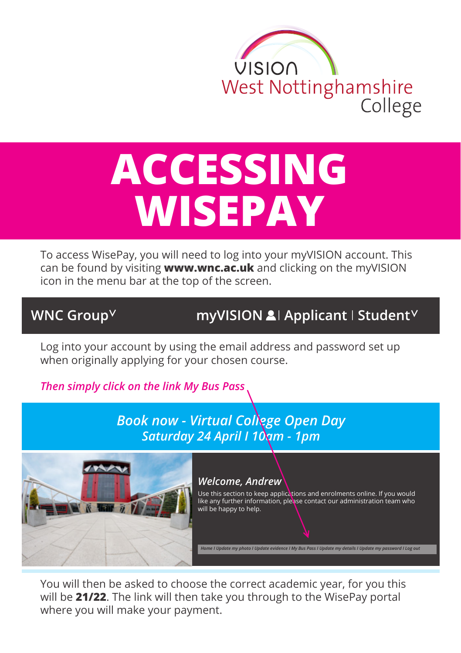

## **ACCESSING WISEPAY**

To access WisePay, you will need to log into your myVISION account. This can be found by visiting **www.wnc.ac.uk** and clicking on the myVISION icon in the menu bar at the top of the screen.

## WNC Group<sup>V</sup>

myVISION & Applicant | Student V

Log into your account by using the email address and password set up when originally applying for your chosen course.

*Then simply click on the link My Bus Pass* 

*Book now - Virtual College Open Day Saturday 24 April I 10am - 1pm*



## *Welcome, Andrew*

Use this section to keep applications and enrolments online. If you would like any further information, please contact our administration team who will be happy to help.

*Home I Update my photo I Update evidence I My Bus Pass I Update my details I Update my password I Log out*

You will then be asked to choose the correct academic year, for you this will be **21/22**. The link will then take you through to the WisePay portal where you will make your payment.